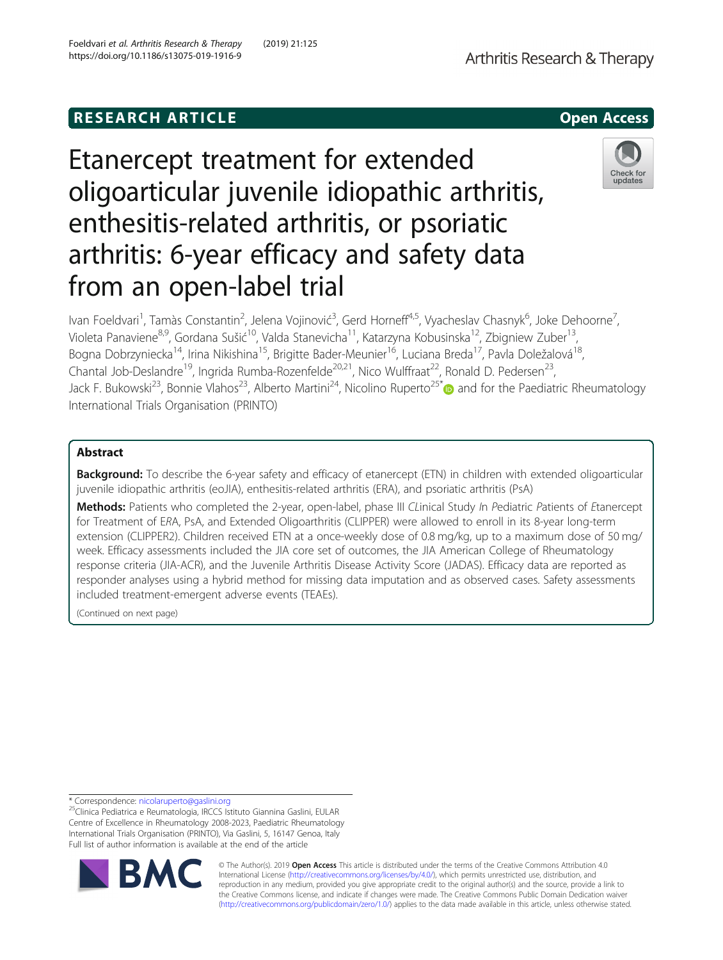# **RESEARCH ARTICLE Example 20 and 20 and 20 and 20 and 20 and 20 and 20 and 20 and 20 and 20 and 20 and 20 and 20 and 20 and 20 and 20 and 20 and 20 and 20 and 20 and 20 and 20 and 20 and 20 and 20 and 20 and 20 and 20 an**

# Etanercept treatment for extended oligoarticular juvenile idiopathic arthritis, enthesitis-related arthritis, or psoriatic arthritis: 6-year efficacy and safety data from an open-label trial

Ivan Foeldvari<sup>1</sup>, Tamàs Constantin<sup>2</sup>, Jelena Vojinović<sup>3</sup>, Gerd Horneff<sup>4,5</sup>, Vyacheslav Chasnyk<sup>6</sup>, Joke Dehoorne<sup>7</sup> , Violeta Panaviene<sup>8,9</sup>, Gordana Sušić<sup>10</sup>, Valda Stanevicha<sup>11</sup>, Katarzyna Kobusinska<sup>12</sup>, Zbigniew Zuber<sup>13</sup>, Bogna Dobrzyniecka<sup>14</sup>, Irina Nikishina<sup>15</sup>, Brigitte Bader-Meunier<sup>16</sup>, Luciana Breda<sup>17</sup>, Pavla Doležalová<sup>18</sup>, Chantal Job-Deslandre<sup>19</sup>, Ingrida Rumba-Rozenfelde<sup>20,21</sup>, Nico Wulffraat<sup>22</sup>, Ronald D. Pedersen<sup>23</sup>, Jack F. Bukowski<sup>23</sup>, Bonnie Vlahos<sup>23</sup>, Alberto Martini<sup>24</sup>, Nicolino Ruperto<sup>25[\\*](http://orcid.org/0000-0001-8407-7782)</sup> and for the Paediatric Rheumatology International Trials Organisation (PRINTO)

# Abstract

Background: To describe the 6-year safety and efficacy of etanercept (ETN) in children with extended oligoarticular juvenile idiopathic arthritis (eoJIA), enthesitis-related arthritis (ERA), and psoriatic arthritis (PsA)

Methods: Patients who completed the 2-year, open-label, phase III CLinical Study In Pediatric Patients of Etanercept for Treatment of ERA, PsA, and Extended Oligoarthritis (CLIPPER) were allowed to enroll in its 8-year long-term extension (CLIPPER2). Children received ETN at a once-weekly dose of 0.8 mg/kg, up to a maximum dose of 50 mg/ week. Efficacy assessments included the JIA core set of outcomes, the JIA American College of Rheumatology response criteria (JIA-ACR), and the Juvenile Arthritis Disease Activity Score (JADAS). Efficacy data are reported as responder analyses using a hybrid method for missing data imputation and as observed cases. Safety assessments included treatment-emergent adverse events (TEAEs).

(Continued on next page)

© The Author(s). 2019 **Open Access** This article is distributed under the terms of the Creative Commons Attribution 4.0 International License [\(http://creativecommons.org/licenses/by/4.0/](http://creativecommons.org/licenses/by/4.0/)), which permits unrestricted use, distribution, and reproduction in any medium, provided you give appropriate credit to the original author(s) and the source, provide a link to the Creative Commons license, and indicate if changes were made. The Creative Commons Public Domain Dedication waiver [\(http://creativecommons.org/publicdomain/zero/1.0/](http://creativecommons.org/publicdomain/zero/1.0/)) applies to the data made available in this article, unless otherwise stated.







<sup>\*</sup> Correspondence: [nicolaruperto@gaslini.org](mailto:nicolaruperto@gaslini.org) 25Clinica Pediatrica e Reumatologia, IRCCS Istituto Giannina Gaslini, EULAR Centre of Excellence in Rheumatology 2008-2023, Paediatric Rheumatology International Trials Organisation (PRINTO), Via Gaslini, 5, 16147 Genoa, Italy Full list of author information is available at the end of the article

Foeldvari et al. Arthritis Research & Therapy (2019) 21:125 https://doi.org/10.1186/s13075-019-1916-9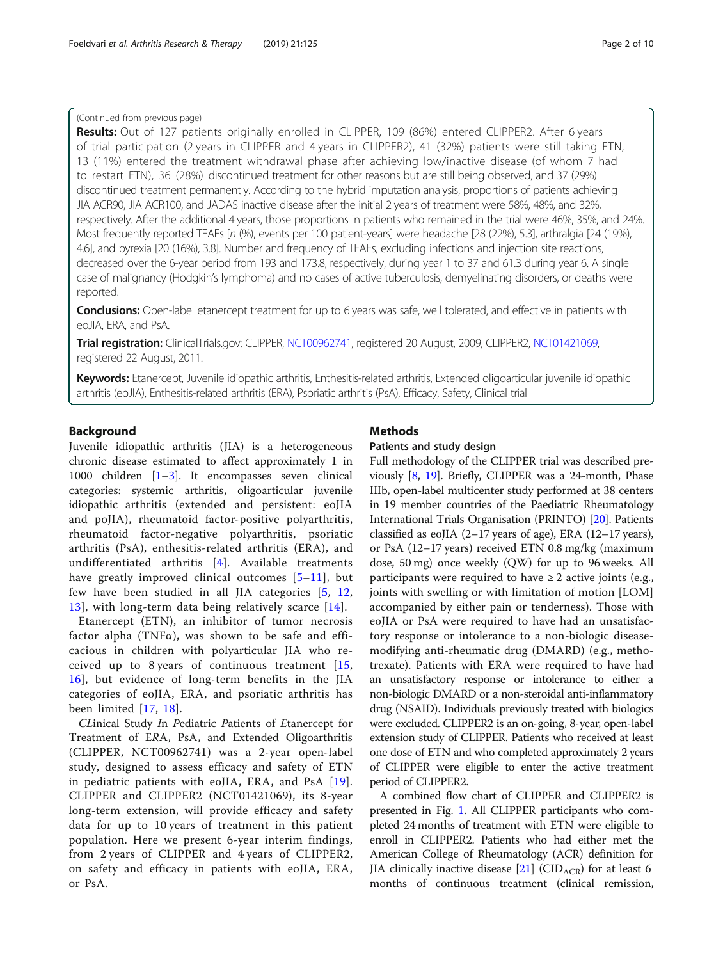# (Continued from previous page)

Results: Out of 127 patients originally enrolled in CLIPPER, 109 (86%) entered CLIPPER2. After 6 years of trial participation (2 years in CLIPPER and 4 years in CLIPPER2), 41 (32%) patients were still taking ETN, 13 (11%) entered the treatment withdrawal phase after achieving low/inactive disease (of whom 7 had to restart ETN), 36 (28%) discontinued treatment for other reasons but are still being observed, and 37 (29%) discontinued treatment permanently. According to the hybrid imputation analysis, proportions of patients achieving JIA ACR90, JIA ACR100, and JADAS inactive disease after the initial 2 years of treatment were 58%, 48%, and 32%, respectively. After the additional 4 years, those proportions in patients who remained in the trial were 46%, 35%, and 24%. Most frequently reported TEAEs [n (%), events per 100 patient-years] were headache [28 (22%), 5.3], arthralgia [24 (19%), 4.6], and pyrexia [20 (16%), 3.8]. Number and frequency of TEAEs, excluding infections and injection site reactions, decreased over the 6-year period from 193 and 173.8, respectively, during year 1 to 37 and 61.3 during year 6. A single case of malignancy (Hodgkin's lymphoma) and no cases of active tuberculosis, demyelinating disorders, or deaths were reported.

Conclusions: Open-label etanercept treatment for up to 6 years was safe, well tolerated, and effective in patients with eoJIA, ERA, and PsA.

Trial registration: ClinicalTrials.gov: CLIPPER, [NCT00962741,](https://clinicaltrials.gov/ct2/show/NCT00962741) registered 20 August, 2009, CLIPPER2, [NCT01421069](https://clinicaltrials.gov/ct2/show/NCT01421069), registered 22 August, 2011.

Keywords: Etanercept, Juvenile idiopathic arthritis, Enthesitis-related arthritis, Extended oligoarticular juvenile idiopathic arthritis (eoJIA), Enthesitis-related arthritis (ERA), Psoriatic arthritis (PsA), Efficacy, Safety, Clinical trial

# Background

Juvenile idiopathic arthritis (JIA) is a heterogeneous chronic disease estimated to affect approximately 1 in 1000 children [\[1](#page-8-0)–[3](#page-8-0)]. It encompasses seven clinical categories: systemic arthritis, oligoarticular juvenile idiopathic arthritis (extended and persistent: eoJIA and poJIA), rheumatoid factor-positive polyarthritis, rheumatoid factor-negative polyarthritis, psoriatic arthritis (PsA), enthesitis-related arthritis (ERA), and undifferentiated arthritis [[4\]](#page-8-0). Available treatments have greatly improved clinical outcomes [[5](#page-8-0)–[11\]](#page-9-0), but few have been studied in all JIA categories [[5](#page-8-0), [12](#page-9-0), [13\]](#page-9-0), with long-term data being relatively scarce [\[14\]](#page-9-0).

Etanercept (ETN), an inhibitor of tumor necrosis factor alpha (TNF $\alpha$ ), was shown to be safe and efficacious in children with polyarticular JIA who received up to 8 years of continuous treatment [\[15](#page-9-0), [16\]](#page-9-0), but evidence of long-term benefits in the JIA categories of eoJIA, ERA, and psoriatic arthritis has been limited [[17](#page-9-0), [18\]](#page-9-0).

CLinical Study In Pediatric Patients of Etanercept for Treatment of ERA, PsA, and Extended Oligoarthritis (CLIPPER, NCT00962741) was a 2-year open-label study, designed to assess efficacy and safety of ETN in pediatric patients with eoJIA, ERA, and PsA [[19](#page-9-0)]. CLIPPER and CLIPPER2 (NCT01421069), its 8-year long-term extension, will provide efficacy and safety data for up to 10 years of treatment in this patient population. Here we present 6-year interim findings, from 2 years of CLIPPER and 4 years of CLIPPER2, on safety and efficacy in patients with eoJIA, ERA, or PsA.

# Methods

# Patients and study design

Full methodology of the CLIPPER trial was described previously [\[8](#page-9-0), [19\]](#page-9-0). Briefly, CLIPPER was a 24-month, Phase IIIb, open-label multicenter study performed at 38 centers in 19 member countries of the Paediatric Rheumatology International Trials Organisation (PRINTO) [[20\]](#page-9-0). Patients classified as eoJIA (2–17 years of age), ERA (12–17 years), or PsA (12–17 years) received ETN 0.8 mg/kg (maximum dose, 50 mg) once weekly (QW) for up to 96 weeks. All participants were required to have  $\geq 2$  active joints (e.g., joints with swelling or with limitation of motion [LOM] accompanied by either pain or tenderness). Those with eoJIA or PsA were required to have had an unsatisfactory response or intolerance to a non-biologic diseasemodifying anti-rheumatic drug (DMARD) (e.g., methotrexate). Patients with ERA were required to have had an unsatisfactory response or intolerance to either a non-biologic DMARD or a non-steroidal anti-inflammatory drug (NSAID). Individuals previously treated with biologics were excluded. CLIPPER2 is an on-going, 8-year, open-label extension study of CLIPPER. Patients who received at least one dose of ETN and who completed approximately 2 years of CLIPPER were eligible to enter the active treatment period of CLIPPER2.

A combined flow chart of CLIPPER and CLIPPER2 is presented in Fig. [1](#page-2-0). All CLIPPER participants who completed 24 months of treatment with ETN were eligible to enroll in CLIPPER2. Patients who had either met the American College of Rheumatology (ACR) definition for JIA clinically inactive disease  $[21]$  (CID<sub>ACR</sub>) for at least 6 months of continuous treatment (clinical remission,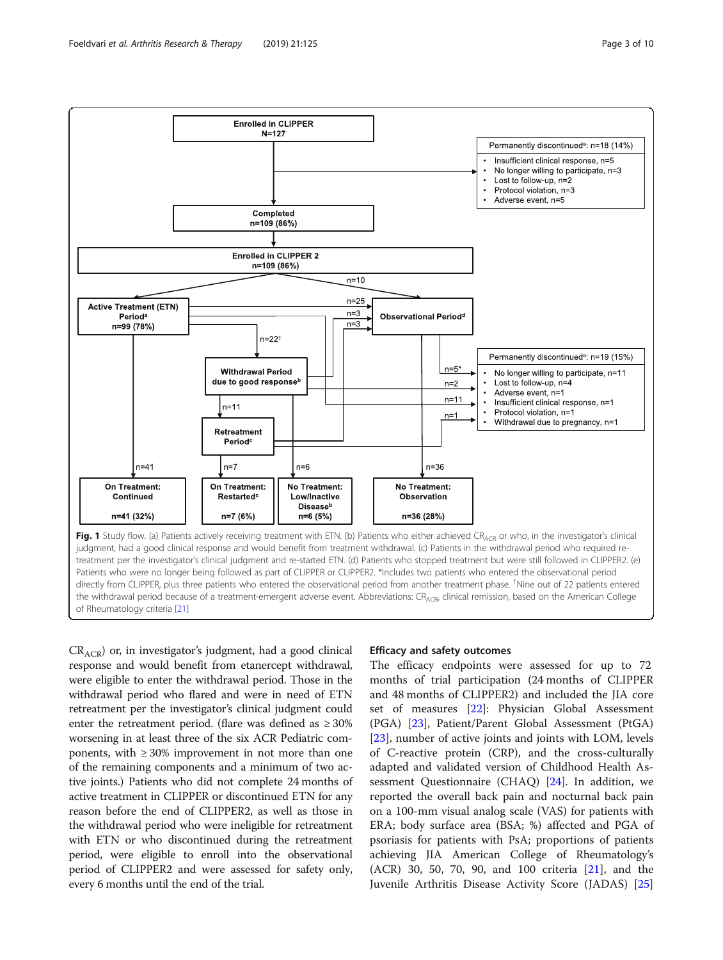<span id="page-2-0"></span>

 $CR_{ACR}$ ) or, in investigator's judgment, had a good clinical response and would benefit from etanercept withdrawal, were eligible to enter the withdrawal period. Those in the withdrawal period who flared and were in need of ETN retreatment per the investigator's clinical judgment could enter the retreatment period. (flare was defined as  $\geq 30\%$ worsening in at least three of the six ACR Pediatric components, with  $\geq 30\%$  improvement in not more than one of the remaining components and a minimum of two active joints.) Patients who did not complete 24 months of active treatment in CLIPPER or discontinued ETN for any reason before the end of CLIPPER2, as well as those in the withdrawal period who were ineligible for retreatment with ETN or who discontinued during the retreatment period, were eligible to enroll into the observational period of CLIPPER2 and were assessed for safety only, every 6 months until the end of the trial.

# Efficacy and safety outcomes

The efficacy endpoints were assessed for up to 72 months of trial participation (24 months of CLIPPER and 48 months of CLIPPER2) and included the JIA core set of measures [[22\]](#page-9-0): Physician Global Assessment (PGA) [\[23](#page-9-0)], Patient/Parent Global Assessment (PtGA) [[23\]](#page-9-0), number of active joints and joints with LOM, levels of C-reactive protein (CRP), and the cross-culturally adapted and validated version of Childhood Health Assessment Questionnaire (CHAQ) [[24\]](#page-9-0). In addition, we reported the overall back pain and nocturnal back pain on a 100-mm visual analog scale (VAS) for patients with ERA; body surface area (BSA; %) affected and PGA of psoriasis for patients with PsA; proportions of patients achieving JIA American College of Rheumatology's (ACR) 30, 50, 70, 90, and 100 criteria [\[21](#page-9-0)], and the Juvenile Arthritis Disease Activity Score (JADAS) [[25](#page-9-0)]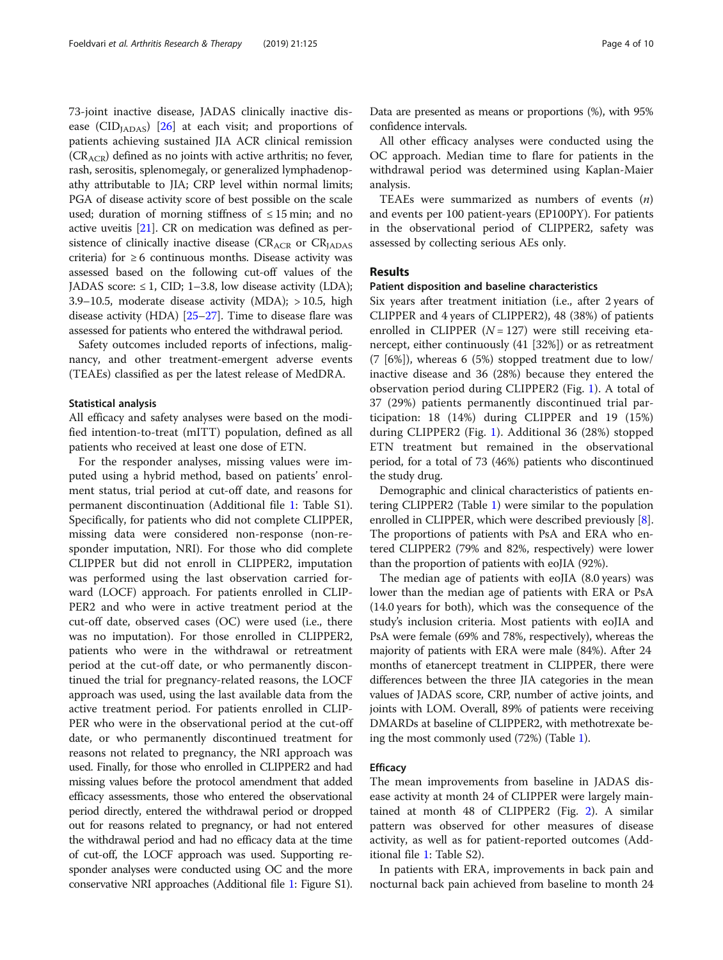73-joint inactive disease, JADAS clinically inactive dis-ease (CID<sub>IADAS</sub>) [\[26\]](#page-9-0) at each visit; and proportions of patients achieving sustained JIA ACR clinical remission  $(CR<sub>ACR</sub>)$  defined as no joints with active arthritis; no fever, rash, serositis, splenomegaly, or generalized lymphadenopathy attributable to JIA; CRP level within normal limits; PGA of disease activity score of best possible on the scale used; duration of morning stiffness of  $\leq 15$  min; and no active uveitis [\[21\]](#page-9-0). CR on medication was defined as persistence of clinically inactive disease  $(CR_{ACR}$  or  $CR_{IADAS}$ criteria) for  $\geq 6$  continuous months. Disease activity was assessed based on the following cut-off values of the JADAS score:  $\leq 1$ , CID; 1–3.8, low disease activity (LDA); 3.9–10.5, moderate disease activity (MDA);  $> 10.5$ , high disease activity (HDA) [[25](#page-9-0)–[27\]](#page-9-0). Time to disease flare was assessed for patients who entered the withdrawal period.

Safety outcomes included reports of infections, malignancy, and other treatment-emergent adverse events (TEAEs) classified as per the latest release of MedDRA.

#### Statistical analysis

All efficacy and safety analyses were based on the modified intention-to-treat (mITT) population, defined as all patients who received at least one dose of ETN.

For the responder analyses, missing values were imputed using a hybrid method, based on patients' enrolment status, trial period at cut-off date, and reasons for permanent discontinuation (Additional file [1](#page-7-0): Table S1). Specifically, for patients who did not complete CLIPPER, missing data were considered non-response (non-responder imputation, NRI). For those who did complete CLIPPER but did not enroll in CLIPPER2, imputation was performed using the last observation carried forward (LOCF) approach. For patients enrolled in CLIP-PER2 and who were in active treatment period at the cut-off date, observed cases (OC) were used (i.e., there was no imputation). For those enrolled in CLIPPER2, patients who were in the withdrawal or retreatment period at the cut-off date, or who permanently discontinued the trial for pregnancy-related reasons, the LOCF approach was used, using the last available data from the active treatment period. For patients enrolled in CLIP-PER who were in the observational period at the cut-off date, or who permanently discontinued treatment for reasons not related to pregnancy, the NRI approach was used. Finally, for those who enrolled in CLIPPER2 and had missing values before the protocol amendment that added efficacy assessments, those who entered the observational period directly, entered the withdrawal period or dropped out for reasons related to pregnancy, or had not entered the withdrawal period and had no efficacy data at the time of cut-off, the LOCF approach was used. Supporting responder analyses were conducted using OC and the more conservative NRI approaches (Additional file [1:](#page-7-0) Figure S1).

Data are presented as means or proportions (%), with 95% confidence intervals.

All other efficacy analyses were conducted using the OC approach. Median time to flare for patients in the withdrawal period was determined using Kaplan-Maier analysis.

TEAEs were summarized as numbers of events  $(n)$ and events per 100 patient-years (EP100PY). For patients in the observational period of CLIPPER2, safety was assessed by collecting serious AEs only.

# Results

#### Patient disposition and baseline characteristics

Six years after treatment initiation (i.e., after 2 years of CLIPPER and 4 years of CLIPPER2), 48 (38%) of patients enrolled in CLIPPER ( $N = 127$ ) were still receiving etanercept, either continuously (41 [32%]) or as retreatment (7 [6%]), whereas 6 (5%) stopped treatment due to low/ inactive disease and 36 (28%) because they entered the observation period during CLIPPER2 (Fig. [1\)](#page-2-0). A total of 37 (29%) patients permanently discontinued trial participation: 18 (14%) during CLIPPER and 19 (15%) during CLIPPER2 (Fig. [1](#page-2-0)). Additional 36 (28%) stopped ETN treatment but remained in the observational period, for a total of 73 (46%) patients who discontinued the study drug.

Demographic and clinical characteristics of patients entering CLIPPER2 (Table [1\)](#page-4-0) were similar to the population enrolled in CLIPPER, which were described previously [[8](#page-9-0)]. The proportions of patients with PsA and ERA who entered CLIPPER2 (79% and 82%, respectively) were lower than the proportion of patients with eoJIA (92%).

The median age of patients with eoJIA (8.0 years) was lower than the median age of patients with ERA or PsA (14.0 years for both), which was the consequence of the study's inclusion criteria. Most patients with eoJIA and PsA were female (69% and 78%, respectively), whereas the majority of patients with ERA were male (84%). After 24 months of etanercept treatment in CLIPPER, there were differences between the three JIA categories in the mean values of JADAS score, CRP, number of active joints, and joints with LOM. Overall, 89% of patients were receiving DMARDs at baseline of CLIPPER2, with methotrexate being the most commonly used (72%) (Table [1](#page-4-0)).

# **Efficacy**

The mean improvements from baseline in JADAS disease activity at month 24 of CLIPPER were largely maintained at month 48 of CLIPPER2 (Fig. [2](#page-5-0)). A similar pattern was observed for other measures of disease activity, as well as for patient-reported outcomes (Additional file [1:](#page-7-0) Table S2).

In patients with ERA, improvements in back pain and nocturnal back pain achieved from baseline to month 24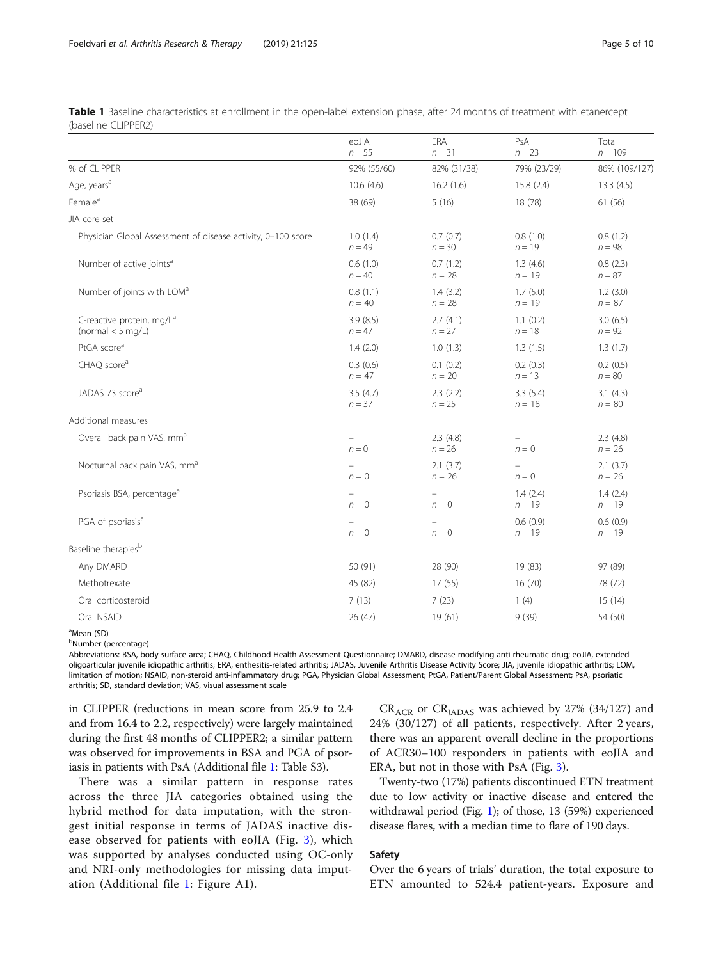<span id="page-4-0"></span>

| Table 1 Baseline characteristics at enrollment in the open-label extension phase, after 24 months of treatment with etanercept |  |  |  |  |
|--------------------------------------------------------------------------------------------------------------------------------|--|--|--|--|
| (baseline CLIPPER2)                                                                                                            |  |  |  |  |

|                                                              | eoJIA<br>$n = 55$    | ERA<br>$n = 31$              | PsA<br>$n = 23$      | Total<br>$n = 109$   |
|--------------------------------------------------------------|----------------------|------------------------------|----------------------|----------------------|
| % of CLIPPER                                                 | 92% (55/60)          | 82% (31/38)                  | 79% (23/29)          | 86% (109/127)        |
| Age, years <sup>a</sup>                                      | 10.6(4.6)            | 16.2(1.6)                    | 15.8(2.4)            | 13.3(4.5)            |
| Female <sup>a</sup>                                          | 38 (69)              | 5(16)                        | 18 (78)              | 61 (56)              |
| JIA core set                                                 |                      |                              |                      |                      |
| Physician Global Assessment of disease activity, 0-100 score | 1.0(1.4)<br>$n = 49$ | 0.7(0.7)<br>$n = 30$         | 0.8(1.0)<br>$n = 19$ | 0.8(1.2)<br>$n = 98$ |
| Number of active joints <sup>a</sup>                         | 0.6(1.0)<br>$n = 40$ | 0.7(1.2)<br>$n = 28$         | 1.3(4.6)<br>$n = 19$ | 0.8(2.3)<br>$n = 87$ |
| Number of joints with LOM <sup>a</sup>                       | 0.8(1.1)<br>$n = 40$ | 1.4(3.2)<br>$n = 28$         | 1.7(5.0)<br>$n = 19$ | 1.2(3.0)<br>$n = 87$ |
| C-reactive protein, mg/L <sup>a</sup><br>(normal $<$ 5 mg/L) | 3.9(8.5)<br>$n = 47$ | 2.7(4.1)<br>$n = 27$         | 1.1(0.2)<br>$n = 18$ | 3.0(6.5)<br>$n = 92$ |
| PtGA score <sup>a</sup>                                      | 1.4(2.0)             | 1.0(1.3)                     | 1.3(1.5)             | 1.3(1.7)             |
| CHAQ score <sup>a</sup>                                      | 0.3(0.6)<br>$n = 47$ | 0.1(0.2)<br>$n = 20$         | 0.2(0.3)<br>$n = 13$ | 0.2(0.5)<br>$n = 80$ |
| JADAS 73 score <sup>a</sup>                                  | 3.5(4.7)<br>$n = 37$ | 2.3(2.2)<br>$n = 25$         | 3.3(5.4)<br>$n = 18$ | 3.1(4.3)<br>$n = 80$ |
| Additional measures                                          |                      |                              |                      |                      |
| Overall back pain VAS, mm <sup>a</sup>                       | $n = 0$              | 2.3(4.8)<br>$n = 26$         | $n = 0$              | 2.3(4.8)<br>$n = 26$ |
| Nocturnal back pain VAS, mm <sup>a</sup>                     | $n = 0$              | 2.1(3.7)<br>$n = 26$         | $n = 0$              | 2.1(3.7)<br>$n = 26$ |
| Psoriasis BSA, percentage <sup>a</sup>                       | $n = 0$              | $\qquad \qquad -$<br>$n = 0$ | 1.4(2.4)<br>$n = 19$ | 1.4(2.4)<br>$n = 19$ |
| PGA of psoriasis <sup>a</sup>                                | $n = 0$              | $n = 0$                      | 0.6(0.9)<br>$n = 19$ | 0.6(0.9)<br>$n = 19$ |
| Baseline therapies <sup>b</sup>                              |                      |                              |                      |                      |
| Any DMARD                                                    | 50 (91)              | 28 (90)                      | 19 (83)              | 97 (89)              |
| Methotrexate                                                 | 45 (82)              | 17(55)                       | 16(70)               | 78 (72)              |
| Oral corticosteroid                                          | 7(13)                | 7(23)                        | 1(4)                 | 15(14)               |
| Oral NSAID                                                   | 26 (47)              | 19(61)                       | 9(39)                | 54 (50)              |

<sup>a</sup>Mean (SD)

<sup>b</sup>Number (percentage)

Abbreviations: BSA, body surface area; CHAQ, Childhood Health Assessment Questionnaire; DMARD, disease-modifying anti-rheumatic drug; eoJIA, extended oligoarticular juvenile idiopathic arthritis; ERA, enthesitis-related arthritis; JADAS, Juvenile Arthritis Disease Activity Score; JIA, juvenile idiopathic arthritis; LOM, limitation of motion; NSAID, non-steroid anti-inflammatory drug; PGA, Physician Global Assessment; PtGA, Patient/Parent Global Assessment; PsA, psoriatic arthritis; SD, standard deviation; VAS, visual assessment scale

in CLIPPER (reductions in mean score from 25.9 to 2.4 and from 16.4 to 2.2, respectively) were largely maintained during the first 48 months of CLIPPER2; a similar pattern was observed for improvements in BSA and PGA of psoriasis in patients with PsA (Additional file [1:](#page-7-0) Table S3).

There was a similar pattern in response rates across the three JIA categories obtained using the hybrid method for data imputation, with the strongest initial response in terms of JADAS inactive disease observed for patients with eoJIA (Fig. [3](#page-5-0)), which was supported by analyses conducted using OC-only and NRI-only methodologies for missing data imputation (Additional file [1:](#page-7-0) Figure A1).

 $CR_{ACR}$  or  $CR_{IADAS}$  was achieved by 27% (34/127) and 24% (30/127) of all patients, respectively. After 2 years, there was an apparent overall decline in the proportions of ACR30–100 responders in patients with eoJIA and ERA, but not in those with PsA (Fig. [3](#page-5-0)).

Twenty-two (17%) patients discontinued ETN treatment due to low activity or inactive disease and entered the withdrawal period (Fig. [1](#page-2-0)); of those, 13 (59%) experienced disease flares, with a median time to flare of 190 days.

# Safety

Over the 6 years of trials' duration, the total exposure to ETN amounted to 524.4 patient-years. Exposure and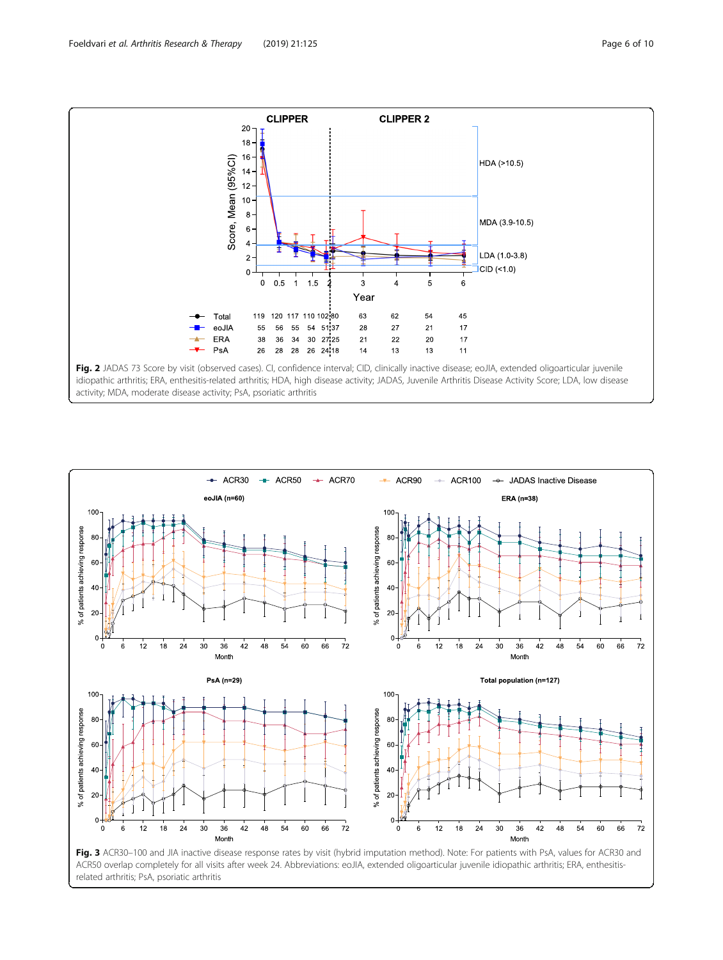<span id="page-5-0"></span>



ACR50 overlap completely for all visits after week 24. Abbreviations: eoJIA, extended oligoarticular juvenile idiopathic arthritis; ERA, enthesitisrelated arthritis; PsA, psoriatic arthritis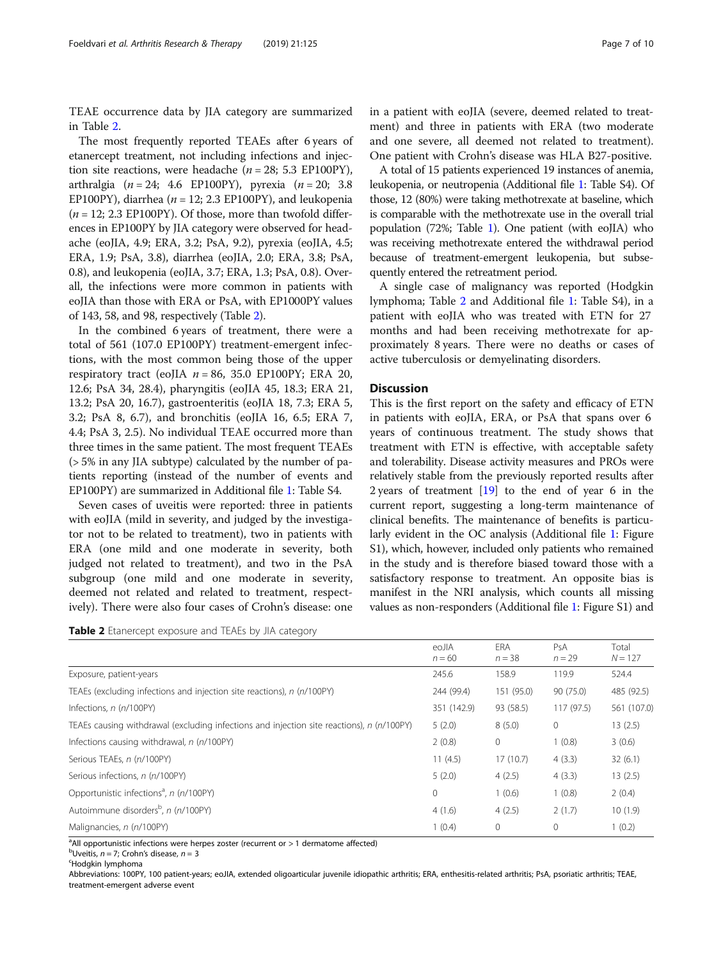TEAE occurrence data by JIA category are summarized in Table 2.

The most frequently reported TEAEs after 6 years of etanercept treatment, not including infections and injection site reactions, were headache ( $n = 28$ ; 5.3 EP100PY), arthralgia (*n* = 24; 4.6 EP100PY), pyrexia (*n* = 20; 3.8 EP100PY), diarrhea ( $n = 12$ ; 2.3 EP100PY), and leukopenia  $(n = 12; 2.3 EPI00PY)$ . Of those, more than twofold differences in EP100PY by JIA category were observed for headache (eoJIA, 4.9; ERA, 3.2; PsA, 9.2), pyrexia (eoJIA, 4.5; ERA, 1.9; PsA, 3.8), diarrhea (eoJIA, 2.0; ERA, 3.8; PsA, 0.8), and leukopenia (eoJIA, 3.7; ERA, 1.3; PsA, 0.8). Overall, the infections were more common in patients with eoJIA than those with ERA or PsA, with EP1000PY values of 143, 58, and 98, respectively (Table 2).

In the combined 6 years of treatment, there were a total of 561 (107.0 EP100PY) treatment-emergent infections, with the most common being those of the upper respiratory tract (eoJIA  $n = 86$ , 35.0 EP100PY; ERA 20, 12.6; PsA 34, 28.4), pharyngitis (eoJIA 45, 18.3; ERA 21, 13.2; PsA 20, 16.7), gastroenteritis (eoJIA 18, 7.3; ERA 5, 3.2; PsA 8, 6.7), and bronchitis (eoJIA 16, 6.5; ERA 7, 4.4; PsA 3, 2.5). No individual TEAE occurred more than three times in the same patient. The most frequent TEAEs (> 5% in any JIA subtype) calculated by the number of patients reporting (instead of the number of events and EP100PY) are summarized in Additional file [1:](#page-7-0) Table S4.

Seven cases of uveitis were reported: three in patients with eoJIA (mild in severity, and judged by the investigator not to be related to treatment), two in patients with ERA (one mild and one moderate in severity, both judged not related to treatment), and two in the PsA subgroup (one mild and one moderate in severity, deemed not related and related to treatment, respectively). There were also four cases of Crohn's disease: one

**Table 2** Etanercept exposure and TEAEs by JIA category

in a patient with eoJIA (severe, deemed related to treatment) and three in patients with ERA (two moderate and one severe, all deemed not related to treatment). One patient with Crohn's disease was HLA B27-positive.

A total of 15 patients experienced 19 instances of anemia, leukopenia, or neutropenia (Additional file [1](#page-7-0): Table S4). Of those, 12 (80%) were taking methotrexate at baseline, which is comparable with the methotrexate use in the overall trial population (72%; Table [1\)](#page-4-0). One patient (with eoJIA) who was receiving methotrexate entered the withdrawal period because of treatment-emergent leukopenia, but subsequently entered the retreatment period.

A single case of malignancy was reported (Hodgkin lymphoma; Table 2 and Additional file [1](#page-7-0): Table S4), in a patient with eoJIA who was treated with ETN for 27 months and had been receiving methotrexate for approximately 8 years. There were no deaths or cases of active tuberculosis or demyelinating disorders.

## **Discussion**

This is the first report on the safety and efficacy of ETN in patients with eoJIA, ERA, or PsA that spans over 6 years of continuous treatment. The study shows that treatment with ETN is effective, with acceptable safety and tolerability. Disease activity measures and PROs were relatively stable from the previously reported results after 2 years of treatment [[19](#page-9-0)] to the end of year 6 in the current report, suggesting a long-term maintenance of clinical benefits. The maintenance of benefits is particularly evident in the OC analysis (Additional file [1:](#page-7-0) Figure S1), which, however, included only patients who remained in the study and is therefore biased toward those with a satisfactory response to treatment. An opposite bias is manifest in the NRI analysis, which counts all missing values as non-responders (Additional file [1:](#page-7-0) Figure S1) and

| eoJIA<br>$n = 60$ | <b>FRA</b><br>$n = 38$ | PsA<br>$n = 29$ | Total<br>$N = 127$ |
|-------------------|------------------------|-----------------|--------------------|
| 245.6             | 158.9                  | 119.9           | 524.4              |
| 244 (99.4)        | 151 (95.0)             | 90 (75.0)       | 485 (92.5)         |
| 351 (142.9)       | 93 (58.5)              | 117(97.5)       | 561 (107.0)        |
| 5(2.0)            | 8(5.0)                 | $\circ$         | 13(2.5)            |
| 2(0.8)            | $\mathbf{0}$           | 1(0.8)          | 3(0.6)             |
| 11(4.5)           | 17(10.7)               | 4(3.3)          | 32(6.1)            |
| 5(2.0)            | 4(2.5)                 | 4(3.3)          | 13(2.5)            |
| $\mathbf{0}$      | 1(0.6)                 | 1(0.8)          | 2(0.4)             |
| 4(1.6)            | 4(2.5)                 | 2(1.7)          | 10(1.9)            |
| 1(0.4)            | $\mathbf{0}$           | $\mathbf{0}$    | 1(0.2)             |
|                   |                        |                 |                    |

<sup>a</sup>All opportunistic infections were herpes zoster (recurrent or > 1 dermatome affected)

<sup>b</sup>Uveitis, *n* = 7; Crohn's disease, *n* = 3

Hodgkin lymphoma

Abbreviations: 100PY, 100 patient-years; eoJIA, extended oligoarticular juvenile idiopathic arthritis; ERA, enthesitis-related arthritis; PsA, psoriatic arthritis; TEAE, treatment-emergent adverse event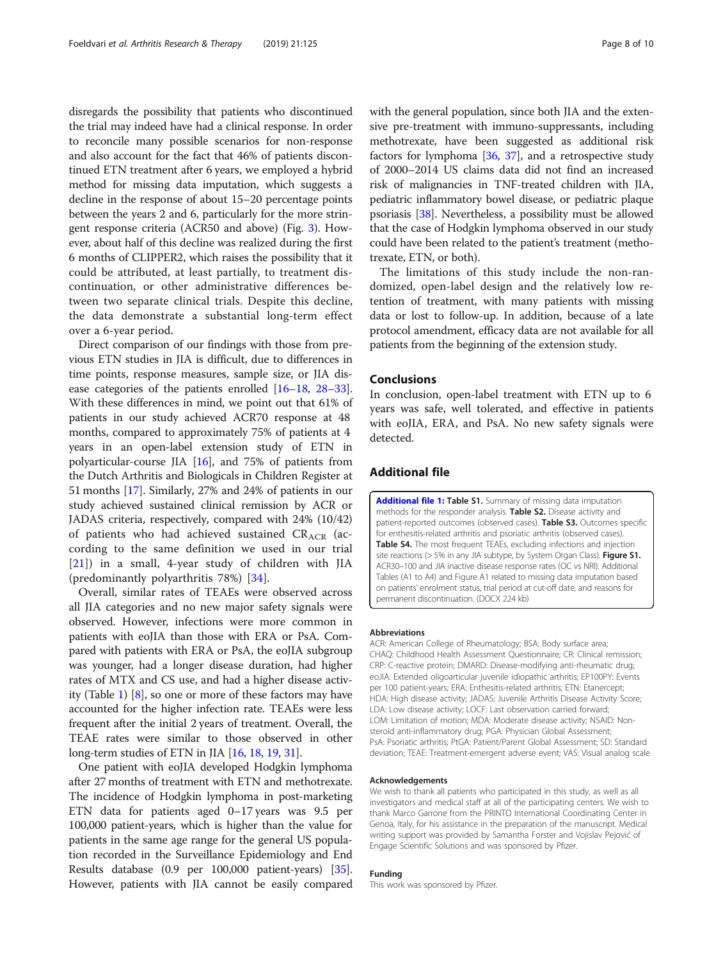<span id="page-7-0"></span>disregards the possibility that patients who discontinued the trial may indeed have had a clinical response. In order to reconcile many possible scenarios for non-response and also account for the fact that 46% of patients discontinued ETN treatment after 6 years, we employed a hybrid method for missing data imputation, which suggests a decline in the response of about 15–20 percentage points between the years 2 and 6, particularly for the more stringent response criteria (ACR50 and above) (Fig. [3\)](#page-5-0). However, about half of this decline was realized during the first 6 months of CLIPPER2, which raises the possibility that it could be attributed, at least partially, to treatment discontinuation, or other administrative differences between two separate clinical trials. Despite this decline, the data demonstrate a substantial long-term effect over a 6-year period.

Direct comparison of our findings with those from previous ETN studies in JIA is difficult, due to differences in time points, response measures, sample size, or JIA disease categories of the patients enrolled [\[16](#page-9-0)–[18,](#page-9-0) [28](#page-9-0)–[33](#page-9-0)]. With these differences in mind, we point out that 61% of patients in our study achieved ACR70 response at 48 months, compared to approximately 75% of patients at 4 years in an open-label extension study of ETN in polyarticular-course JIA [\[16\]](#page-9-0), and 75% of patients from the Dutch Arthritis and Biologicals in Children Register at 51 months [\[17\]](#page-9-0). Similarly, 27% and 24% of patients in our study achieved sustained clinical remission by ACR or JADAS criteria, respectively, compared with 24% (10/42) of patients who had achieved sustained  $CR_{ACR}$  (according to the same definition we used in our trial [[21\]](#page-9-0)) in a small, 4-year study of children with JIA (predominantly polyarthritis 78%) [[34\]](#page-9-0).

Overall, similar rates of TEAEs were observed across all JIA categories and no new major safety signals were observed. However, infections were more common in patients with eoJIA than those with ERA or PsA. Compared with patients with ERA or PsA, the eoJIA subgroup was younger, had a longer disease duration, had higher rates of MTX and CS use, and had a higher disease activity (Table [1](#page-4-0)) [\[8\]](#page-9-0), so one or more of these factors may have accounted for the higher infection rate. TEAEs were less frequent after the initial 2 years of treatment. Overall, the TEAE rates were similar to those observed in other long-term studies of ETN in JIA [\[16,](#page-9-0) [18](#page-9-0), [19](#page-9-0), [31\]](#page-9-0).

One patient with eoJIA developed Hodgkin lymphoma after 27 months of treatment with ETN and methotrexate. The incidence of Hodgkin lymphoma in post-marketing ETN data for patients aged 0–17 years was 9.5 per 100,000 patient-years, which is higher than the value for patients in the same age range for the general US population recorded in the Surveillance Epidemiology and End Results database (0.9 per 100,000 patient-years) [[35](#page-9-0)]. However, patients with JIA cannot be easily compared with the general population, since both JIA and the extensive pre-treatment with immuno-suppressants, including methotrexate, have been suggested as additional risk factors for lymphoma  $[36, 37]$  $[36, 37]$  $[36, 37]$ , and a retrospective study of 2000–2014 US claims data did not find an increased risk of malignancies in TNF-treated children with JIA, pediatric inflammatory bowel disease, or pediatric plaque psoriasis [\[38](#page-9-0)]. Nevertheless, a possibility must be allowed that the case of Hodgkin lymphoma observed in our study could have been related to the patient's treatment (methotrexate, ETN, or both).

The limitations of this study include the non-randomized, open-label design and the relatively low retention of treatment, with many patients with missing data or lost to follow-up. In addition, because of a late protocol amendment, efficacy data are not available for all patients from the beginning of the extension study.

## Conclusions

In conclusion, open-label treatment with ETN up to 6 years was safe, well tolerated, and effective in patients with eoJIA, ERA, and PsA. No new safety signals were detected.

# Additional file

[Additional file 1:](https://doi.org/10.1186/s13075-019-1916-9) Table S1. Summary of missing data imputation methods for the responder analysis. Table S2. Disease activity and patient-reported outcomes (observed cases). Table S3. Outcomes specific for enthesitis-related arthritis and psoriatic arthritis (observed cases). Table S4. The most frequent TEAEs, excluding infections and injection site reactions (> 5% in any JIA subtype, by System Organ Class). Figure S1. ACR30–100 and JIA inactive disease response rates (OC vs NRI). Additional Tables (A1 to A4) and Figure A1 related to missing data imputation based on patients' enrolment status, trial period at cut-off date, and reasons for permanent discontinuation. (DOCX 224 kb)

#### Abbreviations

ACR: American College of Rheumatology; BSA: Body surface area; CHAQ: Childhood Health Assessment Questionnaire; CR: Clinical remission; CRP: C-reactive protein; DMARD: Disease-modifying anti-rheumatic drug; eoJIA: Extended oligoarticular juvenile idiopathic arthritis; EP100PY: Events per 100 patient-years; ERA: Enthesitis-related arthritis; ETN: Etanercept; HDA: High disease activity; JADAS: Juvenile Arthritis Disease Activity Score; LDA: Low disease activity; LOCF: Last observation carried forward; LOM: Limitation of motion; MDA: Moderate disease activity; NSAID: Nonsteroid anti-inflammatory drug; PGA: Physician Global Assessment; PsA: Psoriatic arthritis; PtGA: Patient/Parent Global Assessment; SD: Standard deviation; TEAE: Treatment-emergent adverse event; VAS: Visual analog scale

#### Acknowledgements

We wish to thank all patients who participated in this study, as well as all investigators and medical staff at all of the participating centers. We wish to thank Marco Garrone from the PRINTO International Coordinating Center in Genoa, Italy, for his assistance in the preparation of the manuscript. Medical writing support was provided by Samantha Forster and Vojislav Pejović of Engage Scientific Solutions and was sponsored by Pfizer.

## Funding

This work was sponsored by Pfizer.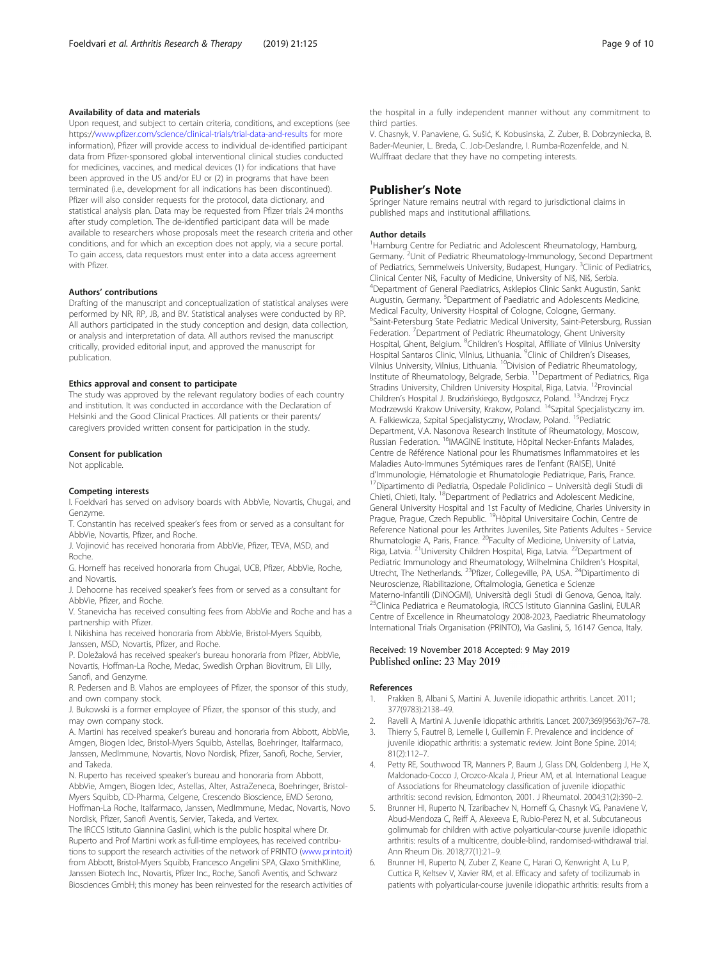## <span id="page-8-0"></span>Availability of data and materials

Upon request, and subject to certain criteria, conditions, and exceptions (see https:/[/www.pfizer.com/science/clinical-trials/trial-data-and-results](https://www.pfizer.com/science/clinical-trials/trial-data-and-results) for more information), Pfizer will provide access to individual de-identified participant data from Pfizer-sponsored global interventional clinical studies conducted for medicines, vaccines, and medical devices (1) for indications that have been approved in the US and/or EU or (2) in programs that have been terminated (i.e., development for all indications has been discontinued). Pfizer will also consider requests for the protocol, data dictionary, and statistical analysis plan. Data may be requested from Pfizer trials 24 months after study completion. The de-identified participant data will be made available to researchers whose proposals meet the research criteria and other conditions, and for which an exception does not apply, via a secure portal. To gain access, data requestors must enter into a data access agreement with Pfizer.

#### Authors' contributions

Drafting of the manuscript and conceptualization of statistical analyses were performed by NR, RP, JB, and BV. Statistical analyses were conducted by RP. All authors participated in the study conception and design, data collection, or analysis and interpretation of data. All authors revised the manuscript critically, provided editorial input, and approved the manuscript for publication.

#### Ethics approval and consent to participate

The study was approved by the relevant regulatory bodies of each country and institution. It was conducted in accordance with the Declaration of Helsinki and the Good Clinical Practices. All patients or their parents/ caregivers provided written consent for participation in the study.

#### Consent for publication

Not applicable.

#### Competing interests

I. Foeldvari has served on advisory boards with AbbVie, Novartis, Chugai, and Genzyme.

T. Constantin has received speaker's fees from or served as a consultant for AbbVie, Novartis, Pfizer, and Roche.

J. Vojinović has received honoraria from AbbVie, Pfizer, TEVA, MSD, and Roche.

G. Horneff has received honoraria from Chugai, UCB, Pfizer, AbbVie, Roche, and Novartis.

J. Dehoorne has received speaker's fees from or served as a consultant for AbbVie, Pfizer, and Roche.

V. Stanevicha has received consulting fees from AbbVie and Roche and has a partnership with Pfizer.

I. Nikishina has received honoraria from AbbVie, Bristol-Myers Squibb, Janssen, MSD, Novartis, Pfizer, and Roche.

P. Doležalová has received speaker's bureau honoraria from Pfizer, AbbVie, Novartis, Hoffman-La Roche, Medac, Swedish Orphan Biovitrum, Eli Lilly, Sanofi, and Genzyme.

R. Pedersen and B. Vlahos are employees of Pfizer, the sponsor of this study, and own company stock.

J. Bukowski is a former employee of Pfizer, the sponsor of this study, and may own company stock.

A. Martini has received speaker's bureau and honoraria from Abbott, AbbVie, Amgen, Biogen Idec, Bristol-Myers Squibb, Astellas, Boehringer, Italfarmaco, Janssen, MedImmune, Novartis, Novo Nordisk, Pfizer, Sanofi, Roche, Servier, and Takeda.

N. Ruperto has received speaker's bureau and honoraria from Abbott, AbbVie, Amgen, Biogen Idec, Astellas, Alter, AstraZeneca, Boehringer, Bristol-Myers Squibb, CD-Pharma, Celgene, Crescendo Bioscience, EMD Serono, Hoffman-La Roche, Italfarmaco, Janssen, MedImmune, Medac, Novartis, Novo Nordisk, Pfizer, Sanofi Aventis, Servier, Takeda, and Vertex.

The IRCCS Istituto Giannina Gaslini, which is the public hospital where Dr. Ruperto and Prof Martini work as full-time employees, has received contributions to support the research activities of the network of PRINTO ([www.printo.it](http://www.printo.it)) from Abbott, Bristol-Myers Squibb, Francesco Angelini SPA, Glaxo SmithKline, Janssen Biotech Inc., Novartis, Pfizer Inc., Roche, Sanofi Aventis, and Schwarz Biosciences GmbH; this money has been reinvested for the research activities of the hospital in a fully independent manner without any commitment to third parties.

V. Chasnyk, V. Panaviene, G. Sušić, K. Kobusinska, Z. Zuber, B. Dobrzyniecka, B. Bader-Meunier, L. Breda, C. Job-Deslandre, I. Rumba-Rozenfelde, and N. Wulffraat declare that they have no competing interests.

# Publisher's Note

Springer Nature remains neutral with regard to jurisdictional claims in published maps and institutional affiliations.

#### Author details

<sup>1</sup>Hamburg Centre for Pediatric and Adolescent Rheumatology, Hamburg, Germany. <sup>2</sup>Unit of Pediatric Rheumatology-Immunology, Second Department of Pediatrics, Semmelweis University, Budapest, Hungary. <sup>3</sup>Clinic of Pediatrics Clinical Center Niš, Faculty of Medicine, University of Niš, Niš, Serbia. <sup>4</sup> Department of General Paediatrics, Asklepios Clinic Sankt Augustin, Sankt Augustin, Germany. <sup>5</sup>Department of Paediatric and Adolescents Medicine, Medical Faculty, University Hospital of Cologne, Cologne, Germany. <sup>6</sup>Saint-Petersburg State Pediatric Medical University, Saint-Petersburg, Russian Federation. <sup>7</sup>Department of Pediatric Rheumatology, Ghent University Hospital, Ghent, Belgium. <sup>8</sup>Children's Hospital, Affiliate of Vilnius University Hospital Santaros Clinic, Vilnius, Lithuania. <sup>9</sup>Clinic of Children's Diseases Vilnius University, Vilnius, Lithuania. <sup>10</sup>Division of Pediatric Rheumatology, Institute of Rheumatology, Belgrade, Serbia. <sup>11</sup>Department of Pediatrics, Riga Stradins University, Children University Hospital, Riga, Latvia. <sup>12</sup>Provincial Children's Hospital J. Brudzińskiego, Bydgoszcz, Poland. 13Andrzej Frycz Modrzewski Krakow University, Krakow, Poland. 14Szpital Specjalistyczny im. A. Falkiewicza, Szpital Specjalistyczny, Wroclaw, Poland. <sup>15</sup>Pediatric Department, V.A. Nasonova Research Institute of Rheumatology, Moscow, Russian Federation. 16IMAGINE Institute, Hôpital Necker-Enfants Malades, Centre de Référence National pour les Rhumatismes Inflammatoires et les Maladies Auto-Immunes Sytémiques rares de l'enfant (RAISE), Unité d'Immunologie, Hématologie et Rhumatologie Pediatrique, Paris, France. 17Dipartimento di Pediatria, Ospedale Policlinico – Università degli Studi di Chieti, Chieti, Italy. 18Department of Pediatrics and Adolescent Medicine, General University Hospital and 1st Faculty of Medicine, Charles University in Prague, Prague, Czech Republic. 19Hôpital Universitaire Cochin, Centre de Reference National pour les Arthrites Juveniles, Site Patients Adultes - Service Rhumatologie A, Paris, France. <sup>20</sup>Faculty of Medicine, University of Latvia, Riga, Latvia.<sup>21</sup>University Children Hospital, Riga, Latvia.<sup>22</sup>Department of Pediatric Immunology and Rheumatology, Wilhelmina Children's Hospital, Utrecht, The Netherlands. <sup>23</sup>Pfizer, Collegeville, PA, USA. <sup>24</sup>Dipartimento di Neuroscienze, Riabilitazione, Oftalmologia, Genetica e Scienze Materno-Infantili (DiNOGMI), Università degli Studi di Genova, Genoa, Italy. <sup>25</sup>Clinica Pediatrica e Reumatologia, IRCCS Istituto Giannina Gaslini, EULAR Centre of Excellence in Rheumatology 2008-2023, Paediatric Rheumatology International Trials Organisation (PRINTO), Via Gaslini, 5, 16147 Genoa, Italy.

# Received: 19 November 2018 Accepted: 9 May 2019 Published online: 23 May 2019

#### References

- 1. Prakken B, Albani S, Martini A. Juvenile idiopathic arthritis. Lancet. 2011; 377(9783):2138–49.
- 2. Ravelli A, Martini A. Juvenile idiopathic arthritis. Lancet. 2007;369(9563):767–78.
- 3. Thierry S, Fautrel B, Lemelle I, Guillemin F. Prevalence and incidence of juvenile idiopathic arthritis: a systematic review. Joint Bone Spine. 2014; 81(2):112–7.
- 4. Petty RE, Southwood TR, Manners P, Baum J, Glass DN, Goldenberg J, He X, Maldonado-Cocco J, Orozco-Alcala J, Prieur AM, et al. International League of Associations for Rheumatology classification of juvenile idiopathic arthritis: second revision, Edmonton, 2001. J Rheumatol. 2004;31(2):390–2.
- 5. Brunner HI, Ruperto N, Tzaribachev N, Horneff G, Chasnyk VG, Panaviene V, Abud-Mendoza C, Reiff A, Alexeeva E, Rubio-Perez N, et al. Subcutaneous golimumab for children with active polyarticular-course juvenile idiopathic arthritis: results of a multicentre, double-blind, randomised-withdrawal trial. Ann Rheum Dis. 2018;77(1):21–9.
- 6. Brunner HI, Ruperto N, Zuber Z, Keane C, Harari O, Kenwright A, Lu P, Cuttica R, Keltsev V, Xavier RM, et al. Efficacy and safety of tocilizumab in patients with polyarticular-course juvenile idiopathic arthritis: results from a